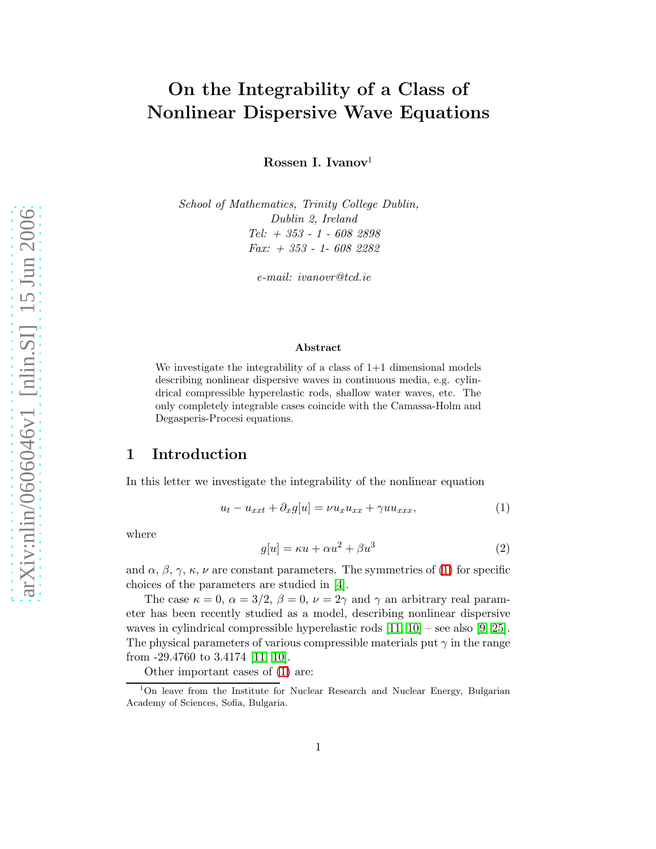# On the Integrability of a Class of Nonlinear Dispersive Wave Equations

Rossen I. Ivanov<sup>1</sup>

School of Mathematics, Trinity College Dublin, Dublin 2, Ireland Tel: + 353 - 1 - 608 2898 Fax: + 353 - 1- 608 2282

e-mail: ivanovr@tcd.ie

#### <span id="page-0-0"></span>Abstract

We investigate the integrability of a class of  $1+1$  dimensional models describing nonlinear dispersive waves in continuous media, e.g. cylindrical compressible hyperelastic rods, shallow water waves, etc. The only completely integrable cases coincide with the Camassa-Holm and Degasperis-Procesi equations.

## 1 Introduction

In this letter we investigate the integrability of the nonlinear equation

$$
u_t - u_{xxt} + \partial_x g[u] = \nu u_x u_{xx} + \gamma u u_{xxx}, \tag{1}
$$

where

$$
g[u] = \kappa u + \alpha u^2 + \beta u^3 \tag{2}
$$

and  $\alpha$ ,  $\beta$ ,  $\gamma$ ,  $\kappa$ ,  $\nu$  are constant parameters. The symmetries of [\(1\)](#page-0-0) for specific choices of the parameters are studied in [\[4\]](#page-6-0).

The case  $\kappa = 0$ ,  $\alpha = 3/2$ ,  $\beta = 0$ ,  $\nu = 2\gamma$  and  $\gamma$  an arbitrary real parameter has been recently studied as a model, describing nonlinear dispersive waves in cylindrical compressible hyperelastic rods  $[11, 10]$  $[11, 10]$  – see also  $[9, 25]$  $[9, 25]$ . The physical parameters of various compressible materials put  $\gamma$  in the range from -29.4760 to 3.4174 [\[11,](#page-6-1) [10\]](#page-6-2).

Other important cases of [\(1\)](#page-0-0) are:

<sup>1</sup>On leave from the Institute for Nuclear Research and Nuclear Energy, Bulgarian Academy of Sciences, Sofia, Bulgaria.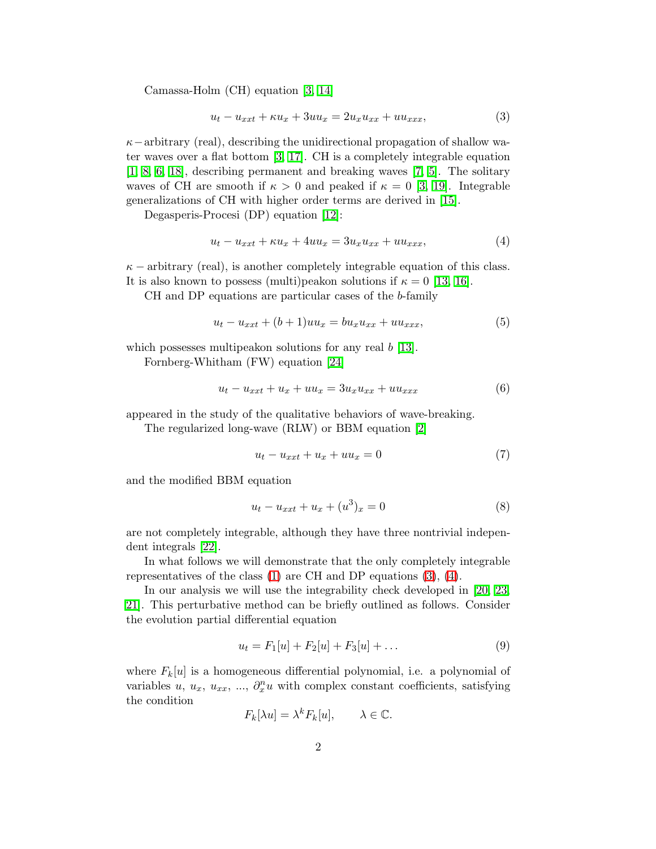Camassa-Holm (CH) equation [\[3,](#page-6-4) [14\]](#page-7-1)

<span id="page-1-0"></span>
$$
u_t - u_{xxt} + \kappa u_x + 3uu_x = 2u_x u_{xx} + uu_{xxx}, \tag{3}
$$

 $\kappa$ −arbitrary (real), describing the unidirectional propagation of shallow water waves over a flat bottom [\[3,](#page-6-4) [17\]](#page-7-2). CH is a completely integrable equation [\[1,](#page-6-5) [8,](#page-6-6) [6,](#page-6-7) [18\]](#page-7-3), describing permanent and breaking waves [\[7,](#page-6-8) [5\]](#page-6-9). The solitary waves of CH are smooth if  $\kappa > 0$  and peaked if  $\kappa = 0$  [\[3,](#page-6-4) [19\]](#page-7-4). Integrable generalizations of CH with higher order terms are derived in [\[15\]](#page-7-5).

Degasperis-Procesi (DP) equation [\[12\]](#page-6-10):

<span id="page-1-1"></span>
$$
u_t - u_{xxt} + \kappa u_x + 4uu_x = 3u_x u_{xx} + uu_{xxx}, \tag{4}
$$

 $\kappa$  – arbitrary (real), is another completely integrable equation of this class. It is also known to possess (multi)peakon solutions if  $\kappa = 0$  [\[13,](#page-7-6) [16\]](#page-7-7).

CH and DP equations are particular cases of the b-family

<span id="page-1-3"></span>
$$
u_t - u_{xxt} + (b+1)uu_x = bu_x u_{xx} + uu_{xxx}, \t\t(5)
$$

which possesses multipeakon solutions for any real  $b \, [13]$  $b \, [13]$ .

Fornberg-Whitham (FW) equation [\[24\]](#page-7-8)

$$
u_t - u_{xxt} + u_x + uu_x = 3u_x u_{xx} + uu_{xxx}
$$
(6)

appeared in the study of the qualitative behaviors of wave-breaking.

The regularized long-wave (RLW) or BBM equation [\[2\]](#page-6-11)

$$
u_t - u_{xxt} + u_x + uu_x = 0 \tag{7}
$$

and the modified BBM equation

$$
u_t - u_{xxt} + u_x + (u^3)_x = 0
$$
\n(8)

are not completely integrable, although they have three nontrivial independent integrals [\[22\]](#page-7-9).

In what follows we will demonstrate that the only completely integrable representatives of the class [\(1\)](#page-0-0) are CH and DP equations [\(3\)](#page-1-0), [\(4\)](#page-1-1).

In our analysis we will use the integrability check developed in [\[20,](#page-7-10) [23,](#page-7-11) [21\]](#page-7-12). This perturbative method can be briefly outlined as follows. Consider the evolution partial differential equation

<span id="page-1-2"></span>
$$
u_t = F_1[u] + F_2[u] + F_3[u] + \dots \tag{9}
$$

where  $F_k[u]$  is a homogeneous differential polynomial, i.e. a polynomial of variables u,  $u_x$ ,  $u_{xx}$ , ...,  $\partial_x^n u$  with complex constant coefficients, satisfying the condition

$$
F_k[\lambda u] = \lambda^k F_k[u], \qquad \lambda \in \mathbb{C}.
$$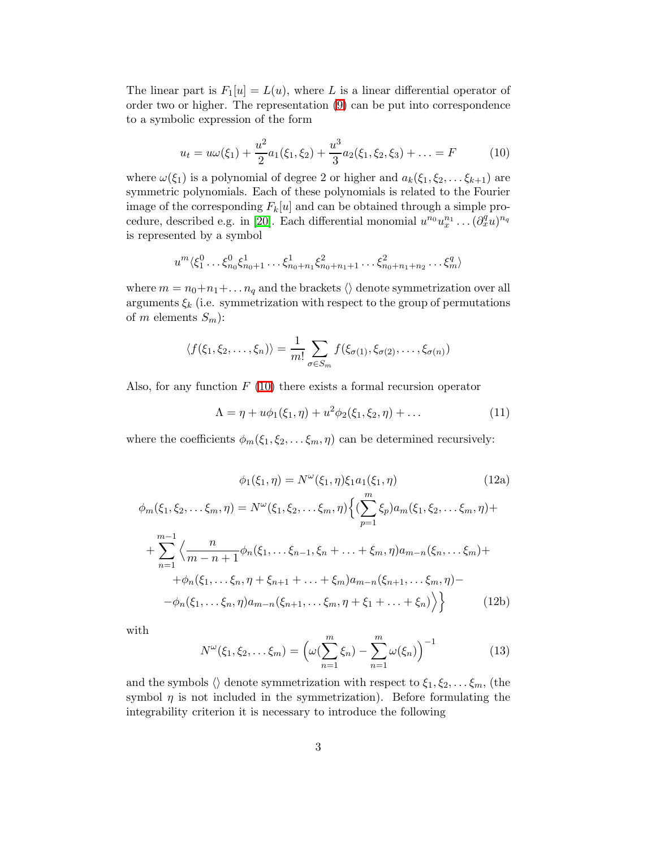<span id="page-2-0"></span>The linear part is  $F_1[u] = L(u)$ , where L is a linear differential operator of order two or higher. The representation [\(9\)](#page-1-2) can be put into correspondence to a symbolic expression of the form

$$
u_t = u\omega(\xi_1) + \frac{u^2}{2}a_1(\xi_1, \xi_2) + \frac{u^3}{3}a_2(\xi_1, \xi_2, \xi_3) + \dots = F
$$
 (10)

where  $\omega(\xi_1)$  is a polynomial of degree 2 or higher and  $a_k(\xi_1, \xi_2, \dots, \xi_{k+1})$  are symmetric polynomials. Each of these polynomials is related to the Fourier image of the corresponding  $F_k[u]$  and can be obtained through a simple pro-cedure, described e.g. in [\[20\]](#page-7-10). Each differential monomial  $u^{n_0}u_x^{n_1}\dots(\partial_x^q u)^{n_q}$ is represented by a symbol

$$
u^{m}\langle \xi_{1}^{0}\dots\xi_{n_{0}}^{0}\xi_{n_{0}+1}^{1}\dots\xi_{n_{0}+n_{1}}^{1}\xi_{n_{0}+n_{1}+1}^{2}\dots\xi_{n_{0}+n_{1}+n_{2}}^{2}\dots\xi_{m}^{q}\rangle
$$

where  $m = n_0 + n_1 + \ldots + n_q$  and the brackets  $\langle \rangle$  denote symmetrization over all arguments  $\xi_k$  (i.e. symmetrization with respect to the group of permutations of m elements  $S_m$ :

$$
\langle f(\xi_1,\xi_2,\ldots,\xi_n)\rangle = \frac{1}{m!} \sum_{\sigma \in S_m} f(\xi_{\sigma(1)},\xi_{\sigma(2)},\ldots,\xi_{\sigma(n)})
$$

Also, for any function  $F(10)$  $F(10)$  there exists a formal recursion operator

<span id="page-2-2"></span>
$$
\Lambda = \eta + u\phi_1(\xi_1, \eta) + u^2 \phi_2(\xi_1, \xi_2, \eta) + \dots \tag{11}
$$

<span id="page-2-1"></span>where the coefficients  $\phi_m(\xi_1, \xi_2, \dots, \xi_m, \eta)$  can be determined recursively:

$$
\phi_1(\xi_1, \eta) = N^{\omega}(\xi_1, \eta)\xi_1 a_1(\xi_1, \eta)
$$
(12a)  

$$
\phi_m(\xi_1, \xi_2, \dots, \xi_m, \eta) = N^{\omega}(\xi_1, \xi_2, \dots, \xi_m, \eta) \Big\{ (\sum_{p=1}^m \xi_p) a_m(\xi_1, \xi_2, \dots, \xi_m, \eta) +
$$

$$
+ \sum_{n=1}^{m-1} \Big\langle \frac{n}{m-n+1} \phi_n(\xi_1, \dots, \xi_{n-1}, \xi_n + \dots + \xi_m, \eta) a_{m-n}(\xi_n, \dots, \xi_m) +
$$

$$
+ \phi_n(\xi_1, \dots, \xi_n, \eta + \xi_{n+1} + \dots + \xi_m) a_{m-n}(\xi_{n+1}, \dots, \xi_m, \eta) -
$$

$$
- \phi_n(\xi_1, \dots, \xi_n, \eta) a_{m-n}(\xi_{n+1}, \dots, \xi_m, \eta + \xi_1 + \dots + \xi_n) \Big\rangle \Big\}
$$
(12b)

with

$$
N^{\omega}(\xi_1, \xi_2, \dots, \xi_m) = \left(\omega(\sum_{n=1}^m \xi_n) - \sum_{n=1}^m \omega(\xi_n)\right)^{-1}
$$
(13)

and the symbols  $\langle \rangle$  denote symmetrization with respect to  $\xi_1, \xi_2, \ldots, \xi_m$ , (the symbol  $\eta$  is not included in the symmetrization). Before formulating the integrability criterion it is necessary to introduce the following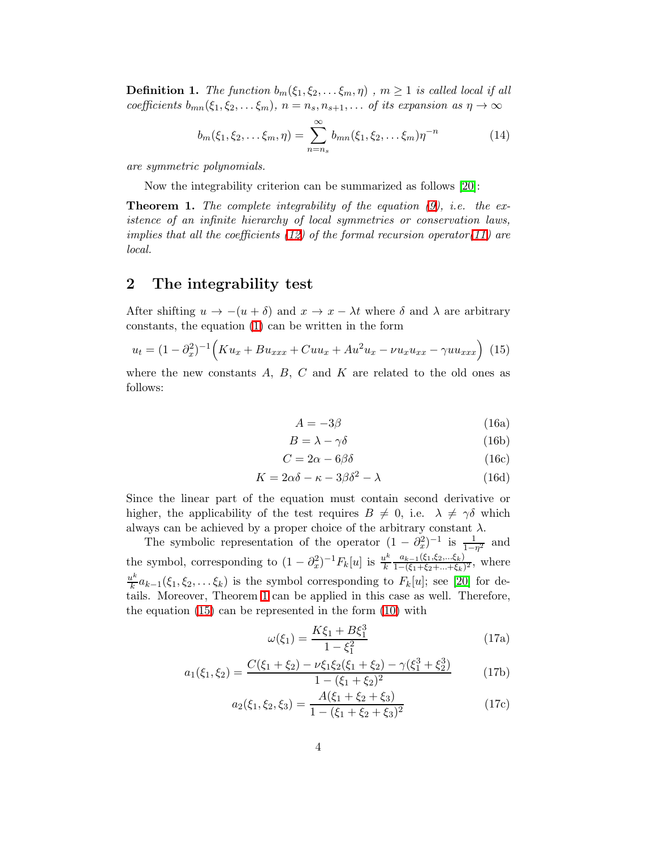**Definition 1.** The function  $b_m(\xi_1, \xi_2, \ldots, \xi_m, \eta)$ ,  $m \ge 1$  is called local if all coefficients  $b_{mn}(\xi_1, \xi_2, \ldots, \xi_m)$ ,  $n = n_s, n_{s+1}, \ldots$  of its expansion as  $\eta \to \infty$ 

$$
b_m(\xi_1, \xi_2, \dots, \xi_m, \eta) = \sum_{n=n_s}^{\infty} b_{mn}(\xi_1, \xi_2, \dots, \xi_m) \eta^{-n}
$$
 (14)

are symmetric polynomials.

Now the integrability criterion can be summarized as follows [\[20\]](#page-7-10):

<span id="page-3-0"></span>**Theorem 1.** The complete integrability of the equation  $(9)$ , i.e. the existence of an infinite hierarchy of local symmetries or conservation laws, implies that all the coefficients  $(12)$  of the formal recursion operator $(11)$  are local.

## 2 The integrability test

After shifting  $u \to -(u + \delta)$  and  $x \to x - \lambda t$  where  $\delta$  and  $\lambda$  are arbitrary constants, the equation [\(1\)](#page-0-0) can be written in the form

$$
u_t = (1 - \partial_x^2)^{-1} \Big( K u_x + B u_{xxx} + C u u_x + A u^2 u_x - \nu u_x u_{xx} - \gamma u u_{xxx} \Big) \tag{15}
$$

<span id="page-3-2"></span>where the new constants  $A, B, C$  and  $K$  are related to the old ones as follows:

<span id="page-3-1"></span>
$$
A = -3\beta \tag{16a}
$$

$$
B = \lambda - \gamma \delta \tag{16b}
$$

$$
C = 2\alpha - 6\beta\delta \tag{16c}
$$

$$
K = 2\alpha\delta - \kappa - 3\beta\delta^2 - \lambda \tag{16d}
$$

Since the linear part of the equation must contain second derivative or higher, the applicability of the test requires  $B \neq 0$ , i.e.  $\lambda \neq \gamma \delta$  which always can be achieved by a proper choice of the arbitrary constant  $\lambda$ .

The symbolic representation of the operator  $(1 - \partial_x^2)^{-1}$  is  $\frac{1}{1 - \eta^2}$  and the symbol, corresponding to  $(1 - \partial_x^2)^{-1} F_k[u]$  is  $\frac{u^k}{k}$ k  $a_{k-1}(\xi_1,\xi_2,...\xi_k)$  $\frac{a_{k-1}(s_1,s_2,...s_k)}{1-(\xi_1+\xi_2+...+\xi_k)^2}$ , where  $u^k$  $\frac{\mu^{k}}{k}a_{k-1}(\xi_1,\xi_2,\ldots,\xi_k)$  is the symbol corresponding to  $F_k[u]$ ; see [\[20\]](#page-7-10) for details. Moreover, Theorem [1](#page-3-0) can be applied in this case as well. Therefore, the equation [\(15\)](#page-3-1) can be represented in the form [\(10\)](#page-2-0) with

$$
\omega(\xi_1) = \frac{K\xi_1 + B\xi_1^3}{1 - \xi_1^2} \tag{17a}
$$

$$
a_1(\xi_1, \xi_2) = \frac{C(\xi_1 + \xi_2) - \nu \xi_1 \xi_2 (\xi_1 + \xi_2) - \gamma (\xi_1^3 + \xi_2^3)}{1 - (\xi_1 + \xi_2)^2}
$$
(17b)

$$
a_2(\xi_1, \xi_2, \xi_3) = \frac{A(\xi_1 + \xi_2 + \xi_3)}{1 - (\xi_1 + \xi_2 + \xi_3)^2}
$$
(17c)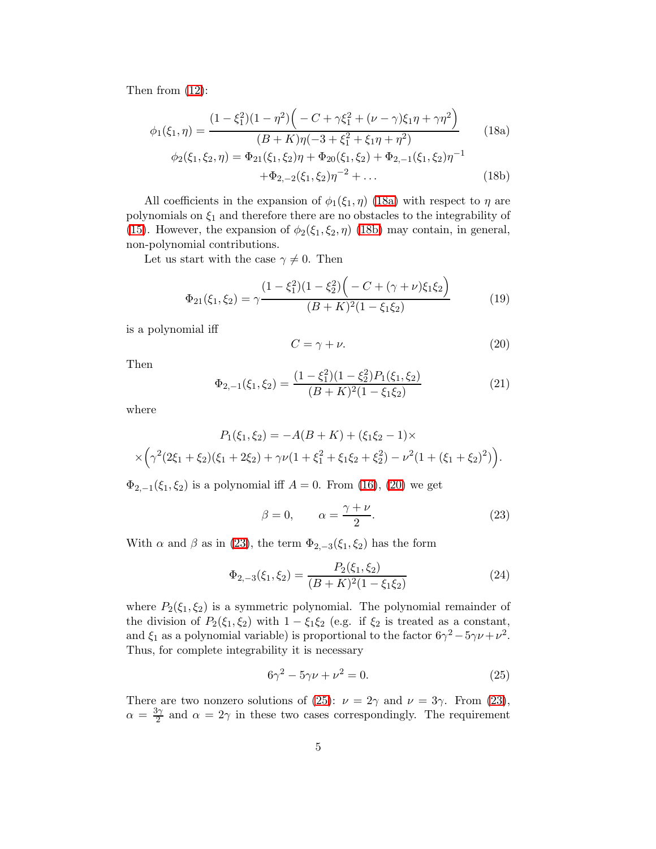Then from [\(12\)](#page-2-1):

<span id="page-4-0"></span>
$$
\phi_1(\xi_1, \eta) = \frac{(1 - \xi_1^2)(1 - \eta^2)\left(-C + \gamma\xi_1^2 + (\nu - \gamma)\xi_1\eta + \gamma\eta^2\right)}{(B + K)\eta(-3 + \xi_1^2 + \xi_1\eta + \eta^2)}
$$
(18a)  

$$
\phi_2(\xi_1, \xi_2, \eta) = \Phi_{21}(\xi_1, \xi_2)\eta + \Phi_{20}(\xi_1, \xi_2) + \Phi_{2,-1}(\xi_1, \xi_2)\eta^{-1}
$$

$$
+ \Phi_{2,-2}(\xi_1, \xi_2)\eta^{-2} + \dots
$$
(18b)

All coefficients in the expansion of  $\phi_1(\xi_1, \eta)$  [\(18a\)](#page-4-0) with respect to  $\eta$  are polynomials on  $\xi_1$  and therefore there are no obstacles to the integrability of [\(15\)](#page-3-1). However, the expansion of  $\phi_2(\xi_1, \xi_2, \eta)$  [\(18b\)](#page-4-1) may contain, in general, non-polynomial contributions.

Let us start with the case  $\gamma \neq 0$ . Then

$$
\Phi_{21}(\xi_1, \xi_2) = \gamma \frac{(1 - \xi_1^2)(1 - \xi_2^2)\left(-C + (\gamma + \nu)\xi_1\xi_2\right)}{(B + K)^2(1 - \xi_1\xi_2)}
$$
(19)

<span id="page-4-2"></span>is a polynomial iff

<span id="page-4-1"></span>
$$
C = \gamma + \nu. \tag{20}
$$

Then

$$
\Phi_{2,-1}(\xi_1,\xi_2) = \frac{(1-\xi_1^2)(1-\xi_2^2)P_1(\xi_1,\xi_2)}{(B+K)^2(1-\xi_1\xi_2)}\tag{21}
$$

where

$$
P_1(\xi_1, \xi_2) = -A(B + K) + (\xi_1 \xi_2 - 1) \times
$$
  
 
$$
\times \left( \gamma^2 (2\xi_1 + \xi_2)(\xi_1 + 2\xi_2) + \gamma \nu (1 + \xi_1^2 + \xi_1 \xi_2 + \xi_2^2) - \nu^2 (1 + (\xi_1 + \xi_2)^2) \right).
$$

 $\Phi_{2,-1}(\xi_1,\xi_2)$  is a polynomial iff  $A = 0$ . From [\(16\)](#page-3-2), [\(20\)](#page-4-2) we get

<span id="page-4-3"></span>
$$
\beta = 0, \qquad \alpha = \frac{\gamma + \nu}{2}.
$$
 (23)

With  $\alpha$  and  $\beta$  as in [\(23\)](#page-4-3), the term  $\Phi_{2,-3}(\xi_1,\xi_2)$  has the form

$$
\Phi_{2,-3}(\xi_1,\xi_2) = \frac{P_2(\xi_1,\xi_2)}{(B+K)^2(1-\xi_1\xi_2)}\tag{24}
$$

where  $P_2(\xi_1, \xi_2)$  is a symmetric polynomial. The polynomial remainder of the division of  $P_2(\xi_1, \xi_2)$  with  $1 - \xi_1 \xi_2$  (e.g. if  $\xi_2$  is treated as a constant, and  $\xi_1$  as a polynomial variable) is proportional to the factor  $6\gamma^2 - 5\gamma \nu + \nu^2$ . Thus, for complete integrability it is necessary

<span id="page-4-4"></span>
$$
6\gamma^2 - 5\gamma \nu + \nu^2 = 0.
$$
 (25)

There are two nonzero solutions of [\(25\)](#page-4-4):  $\nu = 2\gamma$  and  $\nu = 3\gamma$ . From [\(23\)](#page-4-3),  $\alpha = \frac{3\gamma}{2}$  $\frac{\partial \gamma}{\partial z}$  and  $\alpha = 2\gamma$  in these two cases correspondingly. The requirement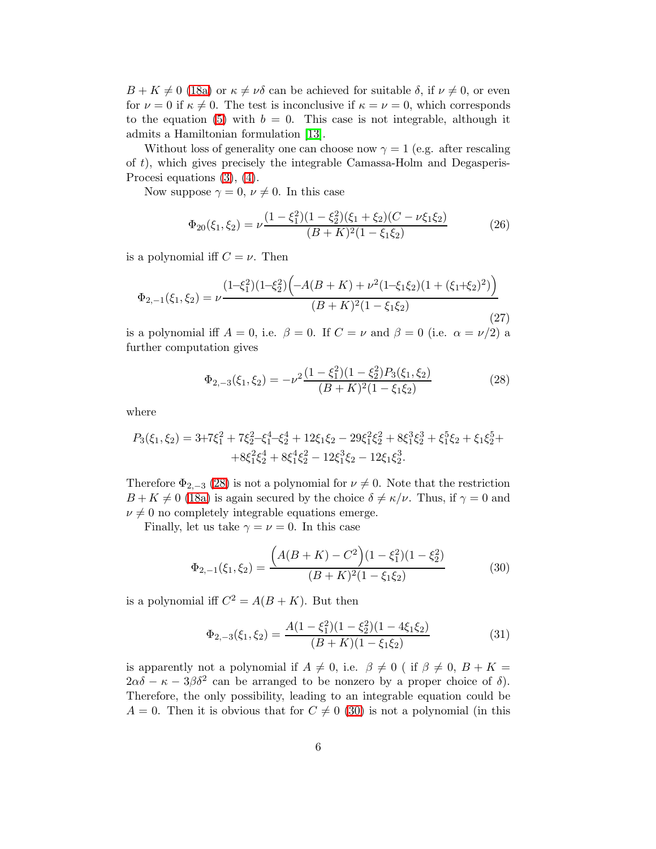$B + K \neq 0$  [\(18a\)](#page-4-0) or  $\kappa \neq \nu \delta$  can be achieved for suitable  $\delta$ , if  $\nu \neq 0$ , or even for  $\nu = 0$  if  $\kappa \neq 0$ . The test is inconclusive if  $\kappa = \nu = 0$ , which corresponds to the equation [\(5\)](#page-1-3) with  $b = 0$ . This case is not integrable, although it admits a Hamiltonian formulation [\[13\]](#page-7-6).

Without loss of generality one can choose now  $\gamma = 1$  (e.g. after rescaling of t), which gives precisely the integrable Camassa-Holm and Degasperis-Procesi equations [\(3\)](#page-1-0), [\(4\)](#page-1-1).

Now suppose  $\gamma = 0, \nu \neq 0$ . In this case

$$
\Phi_{20}(\xi_1, \xi_2) = \nu \frac{(1 - \xi_1^2)(1 - \xi_2^2)(\xi_1 + \xi_2)(C - \nu \xi_1 \xi_2)}{(B + K)^2 (1 - \xi_1 \xi_2)}
$$
(26)

is a polynomial iff  $C = \nu$ . Then

$$
\Phi_{2,-1}(\xi_1,\xi_2) = \nu \frac{(1-\xi_1^2)(1-\xi_2^2)\left(-A(B+K) + \nu^2(1-\xi_1\xi_2)(1+(\xi_1+\xi_2)^2)\right)}{(B+K)^2(1-\xi_1\xi_2)}
$$
(27)

is a polynomial iff  $A = 0$ , i.e.  $\beta = 0$ . If  $C = \nu$  and  $\beta = 0$  (i.e.  $\alpha = \nu/2$ ) a further computation gives

<span id="page-5-0"></span>
$$
\Phi_{2,-3}(\xi_1,\xi_2) = -\nu^2 \frac{(1-\xi_1^2)(1-\xi_2^2)P_3(\xi_1,\xi_2)}{(B+K)^2(1-\xi_1\xi_2)}
$$
(28)

where

$$
P_3(\xi_1, \xi_2) = 3 + 7\xi_1^2 + 7\xi_2^2 - \xi_1^4 - \xi_2^4 + 12\xi_1\xi_2 - 29\xi_1^2\xi_2^2 + 8\xi_1^3\xi_2^3 + \xi_1^5\xi_2 + \xi_1\xi_2^5 + 8\xi_1^2\xi_2^4 + 8\xi_1^4\xi_2^2 - 12\xi_1\xi_2^3.
$$

Therefore  $\Phi_{2,-3}$  [\(28\)](#page-5-0) is not a polynomial for  $\nu \neq 0$ . Note that the restriction  $B + K \neq 0$  [\(18a\)](#page-4-0) is again secured by the choice  $\delta \neq \kappa/\nu$ . Thus, if  $\gamma = 0$  and  $\nu \neq 0$  no completely integrable equations emerge.

Finally, let us take  $\gamma = \nu = 0$ . In this case

<span id="page-5-1"></span>
$$
\Phi_{2,-1}(\xi_1,\xi_2) = \frac{\left(A(B+K) - C^2\right)(1 - \xi_1^2)(1 - \xi_2^2)}{(B+K)^2(1 - \xi_1\xi_2)}\tag{30}
$$

is a polynomial iff  $C^2 = A(B+K)$ . But then

$$
\Phi_{2,-3}(\xi_1,\xi_2) = \frac{A(1-\xi_1^2)(1-\xi_2^2)(1-4\xi_1\xi_2)}{(B+K)(1-\xi_1\xi_2)}
$$
(31)

is apparently not a polynomial if  $A \neq 0$ , i.e.  $\beta \neq 0$  ( if  $\beta \neq 0$ ,  $B + K =$  $2\alpha\delta - \kappa - 3\beta\delta^2$  can be arranged to be nonzero by a proper choice of  $\delta$ ). Therefore, the only possibility, leading to an integrable equation could be  $A = 0$ . Then it is obvious that for  $C \neq 0$  [\(30\)](#page-5-1) is not a polynomial (in this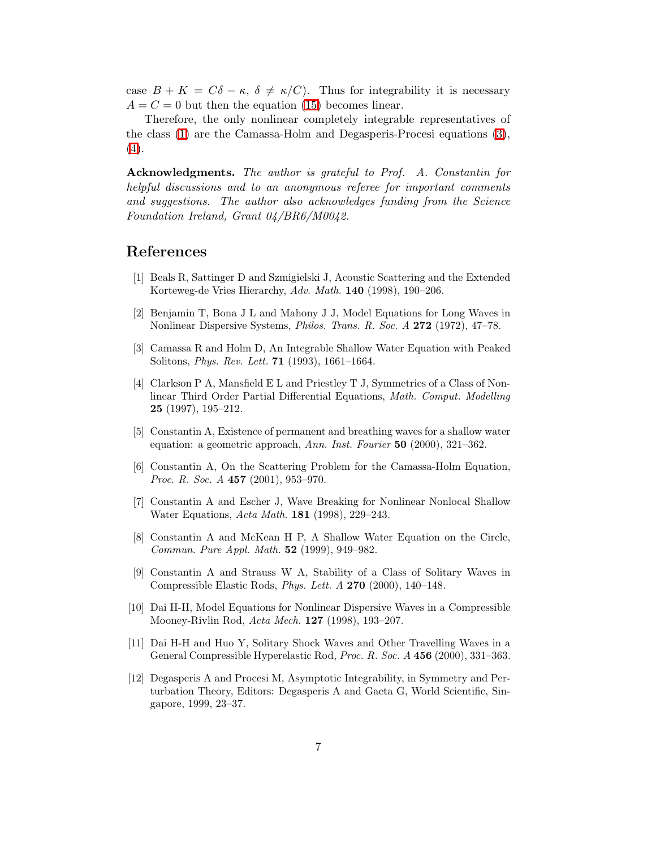case  $B + K = C\delta - \kappa$ ,  $\delta \neq \kappa/C$ ). Thus for integrability it is necessary  $A = C = 0$  but then the equation [\(15\)](#page-3-1) becomes linear.

Therefore, the only nonlinear completely integrable representatives of the class [\(1\)](#page-0-0) are the Camassa-Holm and Degasperis-Procesi equations [\(3\)](#page-1-0), [\(4\)](#page-1-1).

Acknowledgments. The author is grateful to Prof. A. Constantin for helpful discussions and to an anonymous referee for important comments and suggestions. The author also acknowledges funding from the Science Foundation Ireland, Grant 04/BR6/M0042.

#### <span id="page-6-5"></span>References

- <span id="page-6-11"></span>[1] Beals R, Sattinger D and Szmigielski J, Acoustic Scattering and the Extended Korteweg-de Vries Hierarchy, Adv. Math. 140 (1998), 190–206.
- [2] Benjamin T, Bona J L and Mahony J J, Model Equations for Long Waves in Nonlinear Dispersive Systems, *Philos. Trans. R. Soc. A* 272 (1972), 47–78.
- <span id="page-6-4"></span><span id="page-6-0"></span>[3] Camassa R and Holm D, An Integrable Shallow Water Equation with Peaked Solitons, Phys. Rev. Lett. 71 (1993), 1661–1664.
- [4] Clarkson P A, Mansfield E L and Priestley T J, Symmetries of a Class of Nonlinear Third Order Partial Differential Equations, Math. Comput. Modelling 25 (1997), 195–212.
- <span id="page-6-9"></span>[5] Constantin A, Existence of permanent and breathing waves for a shallow water equation: a geometric approach, Ann. Inst. Fourier  $50$  (2000), 321–362.
- <span id="page-6-7"></span>[6] Constantin A, On the Scattering Problem for the Camassa-Holm Equation, *Proc. R. Soc. A* 457 (2001), 953-970.
- <span id="page-6-8"></span>[7] Constantin A and Escher J, Wave Breaking for Nonlinear Nonlocal Shallow Water Equations, Acta Math. **181** (1998), 229-243.
- <span id="page-6-6"></span>[8] Constantin A and McKean H P, A Shallow Water Equation on the Circle, Commun. Pure Appl. Math. 52 (1999), 949–982.
- <span id="page-6-3"></span>[9] Constantin A and Strauss W A, Stability of a Class of Solitary Waves in Compressible Elastic Rods, Phys. Lett. A 270 (2000), 140–148.
- <span id="page-6-2"></span>[10] Dai H-H, Model Equations for Nonlinear Dispersive Waves in a Compressible Mooney-Rivlin Rod, Acta Mech. 127 (1998), 193–207.
- <span id="page-6-1"></span>[11] Dai H-H and Huo Y, Solitary Shock Waves and Other Travelling Waves in a General Compressible Hyperelastic Rod, Proc. R. Soc. A 456 (2000), 331–363.
- <span id="page-6-10"></span>[12] Degasperis A and Procesi M, Asymptotic Integrability, in Symmetry and Perturbation Theory, Editors: Degasperis A and Gaeta G, World Scientific, Singapore, 1999, 23–37.